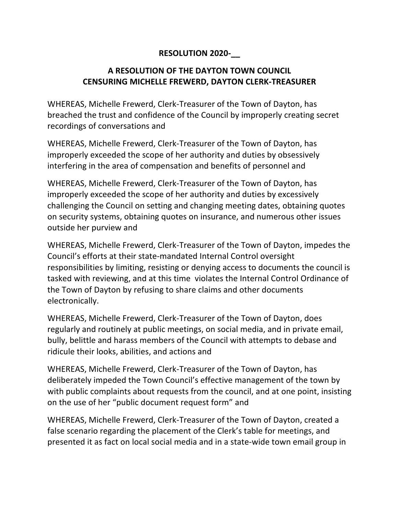## **RESOLUTION 2020-\_\_**

## **A RESOLUTION OF THE DAYTON TOWN COUNCIL CENSURING MICHELLE FREWERD, DAYTON CLERK-TREASURER**

WHEREAS, Michelle Frewerd, Clerk-Treasurer of the Town of Dayton, has breached the trust and confidence of the Council by improperly creating secret recordings of conversations and

WHEREAS, Michelle Frewerd, Clerk-Treasurer of the Town of Dayton, has improperly exceeded the scope of her authority and duties by obsessively interfering in the area of compensation and benefits of personnel and

WHEREAS, Michelle Frewerd, Clerk-Treasurer of the Town of Dayton, has improperly exceeded the scope of her authority and duties by excessively challenging the Council on setting and changing meeting dates, obtaining quotes on security systems, obtaining quotes on insurance, and numerous other issues outside her purview and

WHEREAS, Michelle Frewerd, Clerk-Treasurer of the Town of Dayton, impedes the Council's efforts at their state-mandated Internal Control oversight responsibilities by limiting, resisting or denying access to documents the council is tasked with reviewing, and at this time violates the Internal Control Ordinance of the Town of Dayton by refusing to share claims and other documents electronically.

WHEREAS, Michelle Frewerd, Clerk-Treasurer of the Town of Dayton, does regularly and routinely at public meetings, on social media, and in private email, bully, belittle and harass members of the Council with attempts to debase and ridicule their looks, abilities, and actions and

WHEREAS, Michelle Frewerd, Clerk-Treasurer of the Town of Dayton, has deliberately impeded the Town Council's effective management of the town by with public complaints about requests from the council, and at one point, insisting on the use of her "public document request form" and

WHEREAS, Michelle Frewerd, Clerk-Treasurer of the Town of Dayton, created a false scenario regarding the placement of the Clerk's table for meetings, and presented it as fact on local social media and in a state-wide town email group in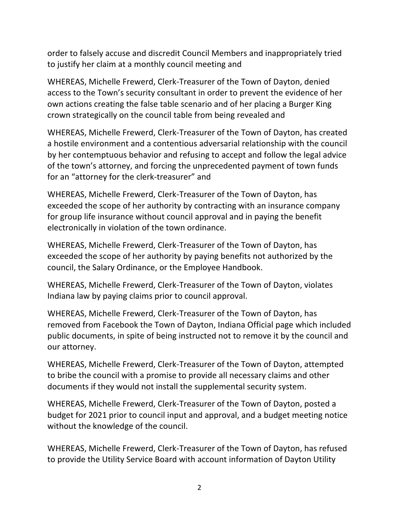order to falsely accuse and discredit Council Members and inappropriately tried to justify her claim at a monthly council meeting and

WHEREAS, Michelle Frewerd, Clerk-Treasurer of the Town of Dayton, denied access to the Town's security consultant in order to prevent the evidence of her own actions creating the false table scenario and of her placing a Burger King crown strategically on the council table from being revealed and

WHEREAS, Michelle Frewerd, Clerk-Treasurer of the Town of Dayton, has created a hostile environment and a contentious adversarial relationship with the council by her contemptuous behavior and refusing to accept and follow the legal advice of the town's attorney, and forcing the unprecedented payment of town funds for an "attorney for the clerk-treasurer" and

WHEREAS, Michelle Frewerd, Clerk-Treasurer of the Town of Dayton, has exceeded the scope of her authority by contracting with an insurance company for group life insurance without council approval and in paying the benefit electronically in violation of the town ordinance.

WHEREAS, Michelle Frewerd, Clerk-Treasurer of the Town of Dayton, has exceeded the scope of her authority by paying benefits not authorized by the council, the Salary Ordinance, or the Employee Handbook.

WHEREAS, Michelle Frewerd, Clerk-Treasurer of the Town of Dayton, violates Indiana law by paying claims prior to council approval.

WHEREAS, Michelle Frewerd, Clerk-Treasurer of the Town of Dayton, has removed from Facebook the Town of Dayton, Indiana Official page which included public documents, in spite of being instructed not to remove it by the council and our attorney.

WHEREAS, Michelle Frewerd, Clerk-Treasurer of the Town of Dayton, attempted to bribe the council with a promise to provide all necessary claims and other documents if they would not install the supplemental security system.

WHEREAS, Michelle Frewerd, Clerk-Treasurer of the Town of Dayton, posted a budget for 2021 prior to council input and approval, and a budget meeting notice without the knowledge of the council.

WHEREAS, Michelle Frewerd, Clerk-Treasurer of the Town of Dayton, has refused to provide the Utility Service Board with account information of Dayton Utility